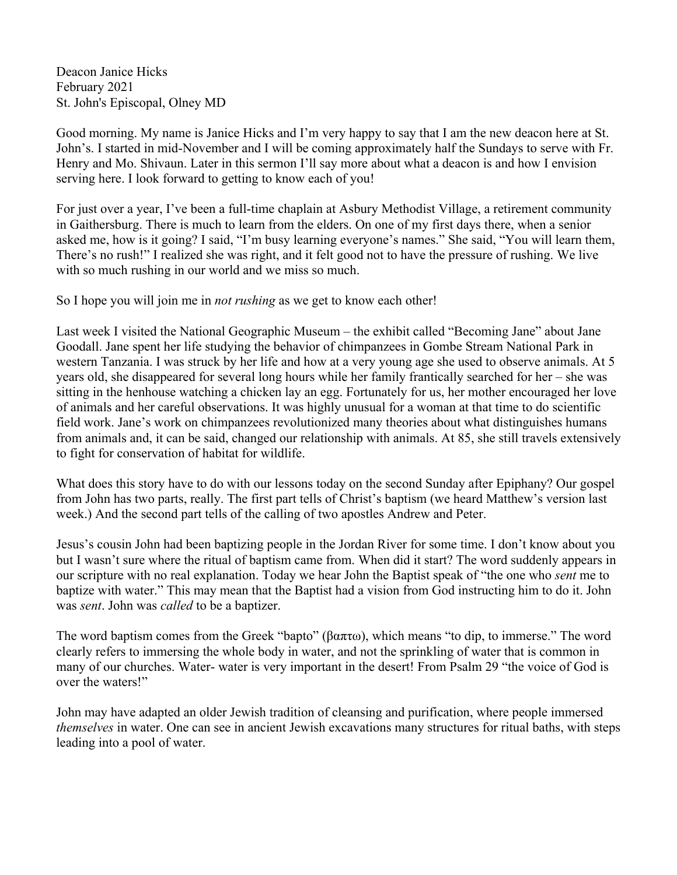Deacon Janice Hicks February 2021 St. John's Episcopal, Olney MD

Good morning. My name is Janice Hicks and I'm very happy to say that I am the new deacon here at St. John's. I started in mid-November and I will be coming approximately half the Sundays to serve with Fr. Henry and Mo. Shivaun. Later in this sermon I'll say more about what a deacon is and how I envision serving here. I look forward to getting to know each of you!

For just over a year, I've been a full-time chaplain at Asbury Methodist Village, a retirement community in Gaithersburg. There is much to learn from the elders. On one of my first days there, when a senior asked me, how is it going? I said, "I'm busy learning everyone's names." She said, "You will learn them, There's no rush!" I realized she was right, and it felt good not to have the pressure of rushing. We live with so much rushing in our world and we miss so much.

So I hope you will join me in *not rushing* as we get to know each other!

Last week I visited the National Geographic Museum – the exhibit called "Becoming Jane" about Jane Goodall. Jane spent her life studying the behavior of chimpanzees in Gombe Stream National Park in western Tanzania. I was struck by her life and how at a very young age she used to observe animals. At 5 years old, she disappeared for several long hours while her family frantically searched for her – she was sitting in the henhouse watching a chicken lay an egg. Fortunately for us, her mother encouraged her love of animals and her careful observations. It was highly unusual for a woman at that time to do scientific field work. Jane's work on chimpanzees revolutionized many theories about what distinguishes humans from animals and, it can be said, changed our relationship with animals. At 85, she still travels extensively to fight for conservation of habitat for wildlife.

What does this story have to do with our lessons today on the second Sunday after Epiphany? Our gospel from John has two parts, really. The first part tells of Christ's baptism (we heard Matthew's version last week.) And the second part tells of the calling of two apostles Andrew and Peter.

Jesus's cousin John had been baptizing people in the Jordan River for some time. I don't know about you but I wasn't sure where the ritual of baptism came from. When did it start? The word suddenly appears in our scripture with no real explanation. Today we hear John the Baptist speak of "the one who *sent* me to baptize with water." This may mean that the Baptist had a vision from God instructing him to do it. John was *sent*. John was *called* to be a baptizer.

The word baptism comes from the Greek "bapto" (βαπτω), which means "to dip, to immerse." The word clearly refers to immersing the whole body in water, and not the sprinkling of water that is common in many of our churches. Water- water is very important in the desert! From Psalm 29 "the voice of God is over the waters!"

John may have adapted an older Jewish tradition of cleansing and purification, where people immersed *themselves* in water. One can see in ancient Jewish excavations many structures for ritual baths, with steps leading into a pool of water.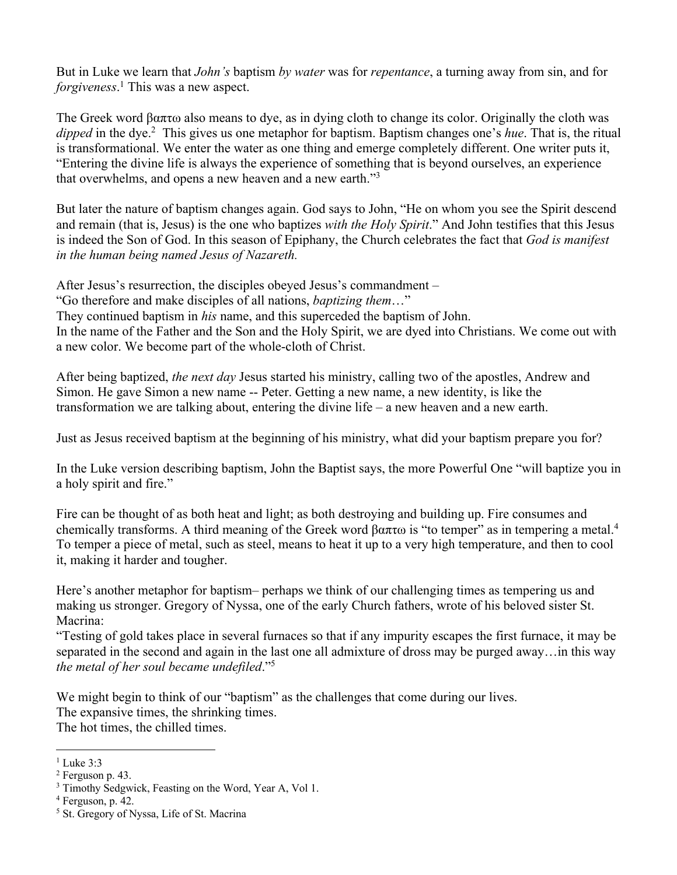But in Luke we learn that *John's* baptism *by water* was for *repentance*, a turning away from sin, and for *forgiveness*. <sup>1</sup> This was a new aspect.

The Greek word βαπτω also means to dye, as in dying cloth to change its color. Originally the cloth was *dipped* in the dye.2 This gives us one metaphor for baptism. Baptism changes one's *hue*. That is, the ritual is transformational. We enter the water as one thing and emerge completely different. One writer puts it, "Entering the divine life is always the experience of something that is beyond ourselves, an experience that overwhelms, and opens a new heaven and a new earth."3

But later the nature of baptism changes again. God says to John, "He on whom you see the Spirit descend and remain (that is, Jesus) is the one who baptizes *with the Holy Spirit*." And John testifies that this Jesus is indeed the Son of God. In this season of Epiphany, the Church celebrates the fact that *God is manifest in the human being named Jesus of Nazareth.*

After Jesus's resurrection, the disciples obeyed Jesus's commandment – "Go therefore and make disciples of all nations, *baptizing them*…" They continued baptism in *his* name, and this superceded the baptism of John. In the name of the Father and the Son and the Holy Spirit, we are dyed into Christians. We come out with a new color. We become part of the whole-cloth of Christ.

After being baptized, *the next day* Jesus started his ministry, calling two of the apostles, Andrew and Simon. He gave Simon a new name -- Peter. Getting a new name, a new identity, is like the transformation we are talking about, entering the divine life – a new heaven and a new earth.

Just as Jesus received baptism at the beginning of his ministry, what did your baptism prepare you for?

In the Luke version describing baptism, John the Baptist says, the more Powerful One "will baptize you in a holy spirit and fire."

Fire can be thought of as both heat and light; as both destroying and building up. Fire consumes and chemically transforms. A third meaning of the Greek word βαπτω is "to temper" as in tempering a metal.<sup>4</sup> To temper a piece of metal, such as steel, means to heat it up to a very high temperature, and then to cool it, making it harder and tougher.

Here's another metaphor for baptism– perhaps we think of our challenging times as tempering us and making us stronger. Gregory of Nyssa, one of the early Church fathers, wrote of his beloved sister St. Macrina:

"Testing of gold takes place in several furnaces so that if any impurity escapes the first furnace, it may be separated in the second and again in the last one all admixture of dross may be purged away…in this way *the metal of her soul became undefiled*."5

We might begin to think of our "baptism" as the challenges that come during our lives. The expansive times, the shrinking times. The hot times, the chilled times.

<sup>&</sup>lt;sup>1</sup> Luke 3:3

 $<sup>2</sup>$  Ferguson p. 43.</sup>

<sup>&</sup>lt;sup>3</sup> Timothy Sedgwick, Feasting on the Word, Year A, Vol 1.

<sup>4</sup> Ferguson, p. 42.

<sup>5</sup> St. Gregory of Nyssa, Life of St. Macrina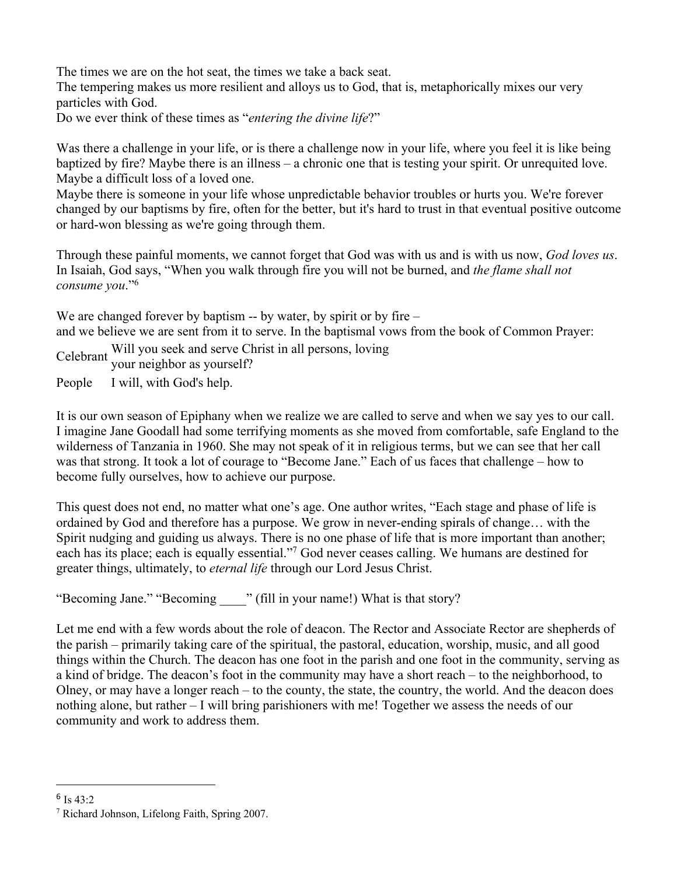The times we are on the hot seat, the times we take a back seat.

The tempering makes us more resilient and alloys us to God, that is, metaphorically mixes our very particles with God.

Do we ever think of these times as "*entering the divine life*?"

Was there a challenge in your life, or is there a challenge now in your life, where you feel it is like being baptized by fire? Maybe there is an illness – a chronic one that is testing your spirit. Or unrequited love. Maybe a difficult loss of a loved one.

Maybe there is someone in your life whose unpredictable behavior troubles or hurts you. We're forever changed by our baptisms by fire, often for the better, but it's hard to trust in that eventual positive outcome or hard-won blessing as we're going through them.

Through these painful moments, we cannot forget that God was with us and is with us now, *God loves us*. In Isaiah, God says, "When you walk through fire you will not be burned, and *the flame shall not consume you*."6

We are changed forever by baptism -- by water, by spirit or by fire – and we believe we are sent from it to serve. In the baptismal vows from the book of Common Prayer:

Celebrant Will you seek and serve Christ in all persons, loving your neighbor as yourself?

People I will, with God's help.

It is our own season of Epiphany when we realize we are called to serve and when we say yes to our call. I imagine Jane Goodall had some terrifying moments as she moved from comfortable, safe England to the wilderness of Tanzania in 1960. She may not speak of it in religious terms, but we can see that her call was that strong. It took a lot of courage to "Become Jane." Each of us faces that challenge – how to become fully ourselves, how to achieve our purpose.

This quest does not end, no matter what one's age. One author writes, "Each stage and phase of life is ordained by God and therefore has a purpose. We grow in never-ending spirals of change… with the Spirit nudging and guiding us always. There is no one phase of life that is more important than another; each has its place; each is equally essential."7 God never ceases calling. We humans are destined for greater things, ultimately, to *eternal life* through our Lord Jesus Christ.

"Becoming Jane." "Becoming  $\qquad$  " (fill in your name!) What is that story?

Let me end with a few words about the role of deacon. The Rector and Associate Rector are shepherds of the parish – primarily taking care of the spiritual, the pastoral, education, worship, music, and all good things within the Church. The deacon has one foot in the parish and one foot in the community, serving as a kind of bridge. The deacon's foot in the community may have a short reach – to the neighborhood, to Olney, or may have a longer reach – to the county, the state, the country, the world. And the deacon does nothing alone, but rather – I will bring parishioners with me! Together we assess the needs of our community and work to address them.

 $6$  Is 43:2

<sup>7</sup> Richard Johnson, Lifelong Faith, Spring 2007.